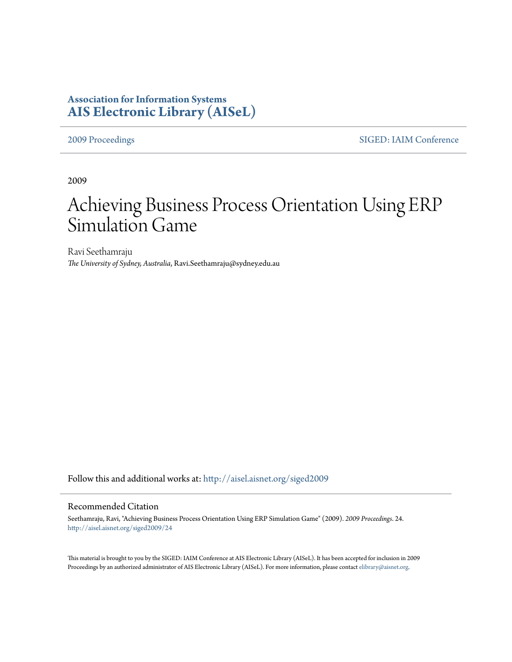# **Association for Information Systems [AIS Electronic Library \(AISeL\)](http://aisel.aisnet.org?utm_source=aisel.aisnet.org%2Fsiged2009%2F24&utm_medium=PDF&utm_campaign=PDFCoverPages)**

[2009 Proceedings](http://aisel.aisnet.org/siged2009?utm_source=aisel.aisnet.org%2Fsiged2009%2F24&utm_medium=PDF&utm_campaign=PDFCoverPages) [SIGED: IAIM Conference](http://aisel.aisnet.org/siged?utm_source=aisel.aisnet.org%2Fsiged2009%2F24&utm_medium=PDF&utm_campaign=PDFCoverPages)

2009

# Achieving Business Process Orientation Using ERP Simulation Game

Ravi Seethamraju *The University of Sydney, Australia*, Ravi.Seethamraju@sydney.edu.au

Follow this and additional works at: [http://aisel.aisnet.org/siged2009](http://aisel.aisnet.org/siged2009?utm_source=aisel.aisnet.org%2Fsiged2009%2F24&utm_medium=PDF&utm_campaign=PDFCoverPages)

#### Recommended Citation

Seethamraju, Ravi, "Achieving Business Process Orientation Using ERP Simulation Game" (2009). *2009 Proceedings*. 24. [http://aisel.aisnet.org/siged2009/24](http://aisel.aisnet.org/siged2009/24?utm_source=aisel.aisnet.org%2Fsiged2009%2F24&utm_medium=PDF&utm_campaign=PDFCoverPages)

This material is brought to you by the SIGED: IAIM Conference at AIS Electronic Library (AISeL). It has been accepted for inclusion in 2009 Proceedings by an authorized administrator of AIS Electronic Library (AISeL). For more information, please contact [elibrary@aisnet.org](mailto:elibrary@aisnet.org%3E).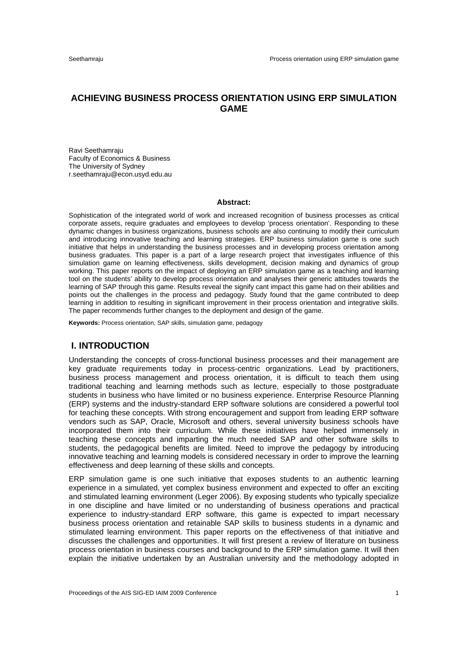# **ACHIEVING BUSINESS PROCESS ORIENTATION USING ERP SIMULATION GAME**

Ravi Seethamraju Faculty of Economics & Business The University of Sydney r.seethamraju@econ.usyd.edu.au

#### **Abstract:**

Sophistication of the integrated world of work and increased recognition of business processes as critical corporate assets, require graduates and employees to develop 'process orientation'. Responding to these dynamic changes in business organizations, business schools are also continuing to modify their curriculum and introducing innovative teaching and learning strategies. ERP business simulation game is one such initiative that helps in understanding the business processes and in developing process orientation among business graduates. This paper is a part of a large research project that investigates influence of this simulation game on learning effectiveness, skills development, decision making and dynamics of group working. This paper reports on the impact of deploying an ERP simulation game as a teaching and learning tool on the students' ability to develop process orientation and analyses their generic attitudes towards the learning of SAP through this game. Results reveal the signify cant impact this game had on their abilities and points out the challenges in the process and pedagogy. Study found that the game contributed to deep learning in addition to resulting in significant improvement in their process orientation and integrative skills. The paper recommends further changes to the deployment and design of the game.

**Keywords:** Process orientation, SAP skills, simulation game, pedagogy

#### **I. INTRODUCTION**

Understanding the concepts of cross-functional business processes and their management are key graduate requirements today in process-centric organizations. Lead by practitioners, business process management and process orientation, it is difficult to teach them using traditional teaching and learning methods such as lecture, especially to those postgraduate students in business who have limited or no business experience. Enterprise Resource Planning (ERP) systems and the industry-standard ERP software solutions are considered a powerful tool for teaching these concepts. With strong encouragement and support from leading ERP software vendors such as SAP, Oracle, Microsoft and others, several university business schools have incorporated them into their curriculum. While these initiatives have helped immensely in teaching these concepts and imparting the much needed SAP and other software skills to students, the pedagogical benefits are limited. Need to improve the pedagogy by introducing innovative teaching and learning models is considered necessary in order to improve the learning effectiveness and deep learning of these skills and concepts.

ERP simulation game is one such initiative that exposes students to an authentic learning experience in a simulated, yet complex business environment and expected to offer an exciting and stimulated learning environment (Leger 2006). By exposing students who typically specialize in one discipline and have limited or no understanding of business operations and practical experience to industry-standard ERP software, this game is expected to impart necessary business process orientation and retainable SAP skills to business students in a dynamic and stimulated learning environment. This paper reports on the effectiveness of that initiative and discusses the challenges and opportunities. It will first present a review of literature on business process orientation in business courses and background to the ERP simulation game. It will then explain the initiative undertaken by an Australian university and the methodology adopted in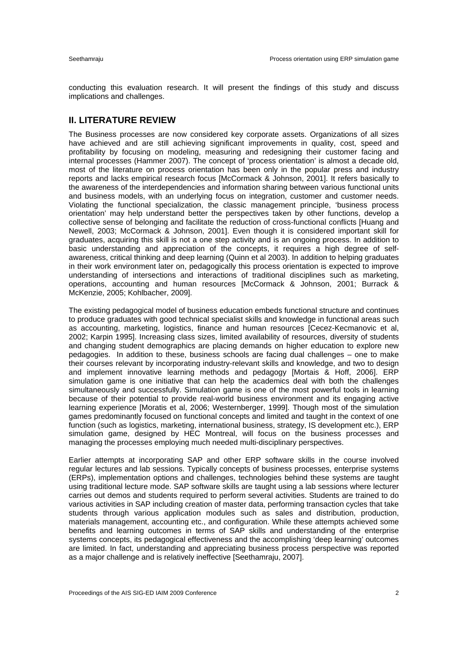conducting this evaluation research. It will present the findings of this study and discuss implications and challenges.

# **II. LITERATURE REVIEW**

The Business processes are now considered key corporate assets. Organizations of all sizes have achieved and are still achieving significant improvements in quality, cost, speed and profitability by focusing on modeling, measuring and redesigning their customer facing and internal processes (Hammer 2007). The concept of 'process orientation' is almost a decade old, most of the literature on process orientation has been only in the popular press and industry reports and lacks empirical research focus [McCormack & Johnson, 2001]. It refers basically to the awareness of the interdependencies and information sharing between various functional units and business models, with an underlying focus on integration, customer and customer needs. Violating the functional specialization, the classic management principle, 'business process orientation' may help understand better the perspectives taken by other functions, develop a collective sense of belonging and facilitate the reduction of cross-functional conflicts [Huang and Newell, 2003; McCormack & Johnson, 2001]. Even though it is considered important skill for graduates, acquiring this skill is not a one step activity and is an ongoing process. In addition to basic understanding and appreciation of the concepts, it requires a high degree of selfawareness, critical thinking and deep learning (Quinn et al 2003). In addition to helping graduates in their work environment later on, pedagogically this process orientation is expected to improve understanding of intersections and interactions of traditional disciplines such as marketing, operations, accounting and human resources [McCormack & Johnson, 2001; Burrack & McKenzie, 2005; Kohlbacher, 2009].

The existing pedagogical model of business education embeds functional structure and continues to produce graduates with good technical specialist skills and knowledge in functional areas such as accounting, marketing, logistics, finance and human resources [Cecez-Kecmanovic et al, 2002; Karpin 1995]. Increasing class sizes, limited availability of resources, diversity of students and changing student demographics are placing demands on higher education to explore new pedagogies. In addition to these, business schools are facing dual challenges – one to make their courses relevant by incorporating industry-relevant skills and knowledge, and two to design and implement innovative learning methods and pedagogy [Mortais & Hoff, 2006]. ERP simulation game is one initiative that can help the academics deal with both the challenges simultaneously and successfully. Simulation game is one of the most powerful tools in learning because of their potential to provide real-world business environment and its engaging active learning experience [Moratis et al, 2006; Westernberger, 1999]. Though most of the simulation games predominantly focused on functional concepts and limited and taught in the context of one function (such as logistics, marketing, international business, strategy, IS development etc.), ERP simulation game, designed by HEC Montreal, will focus on the business processes and managing the processes employing much needed multi-disciplinary perspectives.

Earlier attempts at incorporating SAP and other ERP software skills in the course involved regular lectures and lab sessions. Typically concepts of business processes, enterprise systems (ERPs), implementation options and challenges, technologies behind these systems are taught using traditional lecture mode. SAP software skills are taught using a lab sessions where lecturer carries out demos and students required to perform several activities. Students are trained to do various activities in SAP including creation of master data, performing transaction cycles that take students through various application modules such as sales and distribution, production, materials management, accounting etc., and configuration. While these attempts achieved some benefits and learning outcomes in terms of SAP skills and understanding of the enterprise systems concepts, its pedagogical effectiveness and the accomplishing 'deep learning' outcomes are limited. In fact, understanding and appreciating business process perspective was reported as a major challenge and is relatively ineffective [Seethamraju, 2007].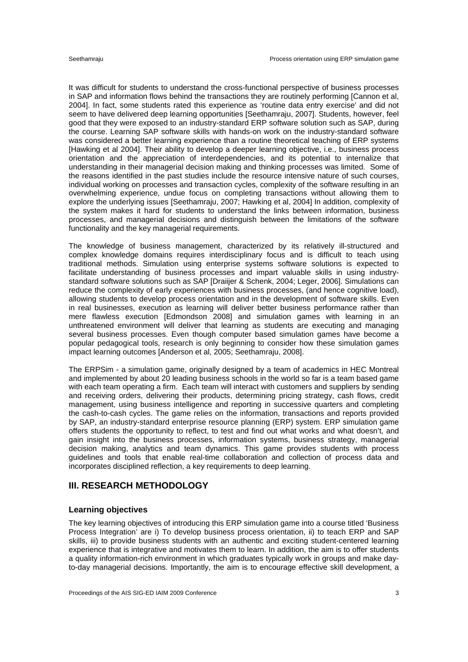It was difficult for students to understand the cross-functional perspective of business processes in SAP and information flows behind the transactions they are routinely performing [Cannon et al, 2004]. In fact, some students rated this experience as 'routine data entry exercise' and did not seem to have delivered deep learning opportunities [Seethamraju, 2007]. Students, however, feel good that they were exposed to an industry-standard ERP software solution such as SAP, during the course. Learning SAP software skills with hands-on work on the industry-standard software was considered a better learning experience than a routine theoretical teaching of ERP systems [Hawking et al 2004]. Their ability to develop a deeper learning objective, i.e., business process orientation and the appreciation of interdependencies, and its potential to internalize that understanding in their managerial decision making and thinking processes was limited. Some of the reasons identified in the past studies include the resource intensive nature of such courses, individual working on processes and transaction cycles, complexity of the software resulting in an overwhelming experience, undue focus on completing transactions without allowing them to explore the underlying issues [Seethamraju, 2007; Hawking et al, 2004] In addition, complexity of the system makes it hard for students to understand the links between information, business processes, and managerial decisions and distinguish between the limitations of the software functionality and the key managerial requirements.

The knowledge of business management, characterized by its relatively ill-structured and complex knowledge domains requires interdisciplinary focus and is difficult to teach using traditional methods. Simulation using enterprise systems software solutions is expected to facilitate understanding of business processes and impart valuable skills in using industrystandard software solutions such as SAP [Draiijer & Schenk, 2004; Leger, 2006]. Simulations can reduce the complexity of early experiences with business processes, (and hence cognitive load), allowing students to develop process orientation and in the development of software skills. Even in real businesses, execution as learning will deliver better business performance rather than mere flawless execution [Edmondson 2008] and simulation games with learning in an unthreatened environment will deliver that learning as students are executing and managing several business processes. Even though computer based simulation games have become a popular pedagogical tools, research is only beginning to consider how these simulation games impact learning outcomes [Anderson et al, 2005; Seethamraju, 2008].

The ERPSim - a simulation game, originally designed by a team of academics in HEC Montreal and implemented by about 20 leading business schools in the world so far is a team based game with each team operating a firm. Each team will interact with customers and suppliers by sending and receiving orders, delivering their products, determining pricing strategy, cash flows, credit management, using business intelligence and reporting in successive quarters and completing the cash-to-cash cycles. The game relies on the information, transactions and reports provided by SAP, an industry-standard enterprise resource planning (ERP) system. ERP simulation game offers students the opportunity to reflect, to test and find out what works and what doesn't, and gain insight into the business processes, information systems, business strategy, managerial decision making, analytics and team dynamics. This game provides students with process guidelines and tools that enable real-time collaboration and collection of process data and incorporates disciplined reflection, a key requirements to deep learning.

### **III. RESEARCH METHODOLOGY**

#### **Learning objectives**

The key learning objectives of introducing this ERP simulation game into a course titled 'Business Process Integration' are i) To develop business process orientation, ii) to teach ERP and SAP skills, iii) to provide business students with an authentic and exciting student-centered learning experience that is integrative and motivates them to learn. In addition, the aim is to offer students a quality information-rich environment in which graduates typically work in groups and make dayto-day managerial decisions. Importantly, the aim is to encourage effective skill development, a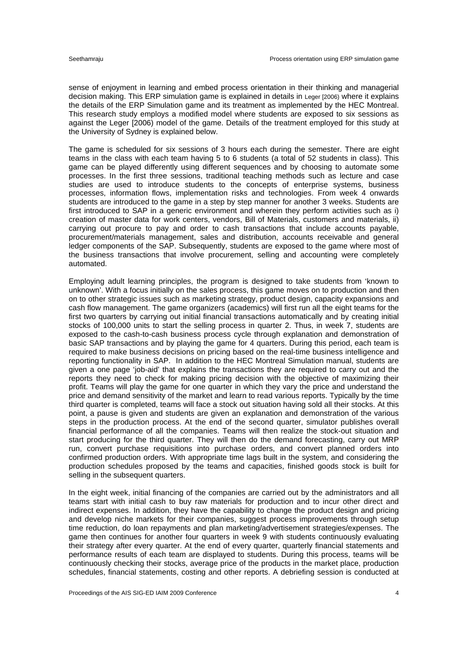sense of enjoyment in learning and embed process orientation in their thinking and managerial decision making. This ERP simulation game is explained in details in Leger [2006) where it explains the details of the ERP Simulation game and its treatment as implemented by the HEC Montreal. This research study employs a modified model where students are exposed to six sessions as against the Leger [2006) model of the game. Details of the treatment employed for this study at the University of Sydney is explained below.

The game is scheduled for six sessions of 3 hours each during the semester. There are eight teams in the class with each team having 5 to 6 students (a total of 52 students in class). This game can be played differently using different sequences and by choosing to automate some processes. In the first three sessions, traditional teaching methods such as lecture and case studies are used to introduce students to the concepts of enterprise systems, business processes, information flows, implementation risks and technologies. From week 4 onwards students are introduced to the game in a step by step manner for another 3 weeks. Students are first introduced to SAP in a generic environment and wherein they perform activities such as i) creation of master data for work centers, vendors, Bill of Materials, customers and materials, ii) carrying out procure to pay and order to cash transactions that include accounts payable, procurement/materials management, sales and distribution, accounts receivable and general ledger components of the SAP. Subsequently, students are exposed to the game where most of the business transactions that involve procurement, selling and accounting were completely automated.

Employing adult learning principles, the program is designed to take students from 'known to unknown'. With a focus initially on the sales process, this game moves on to production and then on to other strategic issues such as marketing strategy, product design, capacity expansions and cash flow management. The game organizers (academics) will first run all the eight teams for the first two quarters by carrying out initial financial transactions automatically and by creating initial stocks of 100,000 units to start the selling process in quarter 2. Thus, in week 7, students are exposed to the cash-to-cash business process cycle through explanation and demonstration of basic SAP transactions and by playing the game for 4 quarters. During this period, each team is required to make business decisions on pricing based on the real-time business intelligence and reporting functionality in SAP. In addition to the HEC Montreal Simulation manual, students are given a one page 'job-aid' that explains the transactions they are required to carry out and the reports they need to check for making pricing decision with the objective of maximizing their profit. Teams will play the game for one quarter in which they vary the price and understand the price and demand sensitivity of the market and learn to read various reports. Typically by the time third quarter is completed, teams will face a stock out situation having sold all their stocks. At this point, a pause is given and students are given an explanation and demonstration of the various steps in the production process. At the end of the second quarter, simulator publishes overall financial performance of all the companies. Teams will then realize the stock-out situation and start producing for the third quarter. They will then do the demand forecasting, carry out MRP run, convert purchase requisitions into purchase orders, and convert planned orders into confirmed production orders. With appropriate time lags built in the system, and considering the production schedules proposed by the teams and capacities, finished goods stock is built for selling in the subsequent quarters.

In the eight week, initial financing of the companies are carried out by the administrators and all teams start with initial cash to buy raw materials for production and to incur other direct and indirect expenses. In addition, they have the capability to change the product design and pricing and develop niche markets for their companies, suggest process improvements through setup time reduction, do loan repayments and plan marketing/advertisement strategies/expenses. The game then continues for another four quarters in week 9 with students continuously evaluating their strategy after every quarter. At the end of every quarter, quarterly financial statements and performance results of each team are displayed to students. During this process, teams will be continuously checking their stocks, average price of the products in the market place, production schedules, financial statements, costing and other reports. A debriefing session is conducted at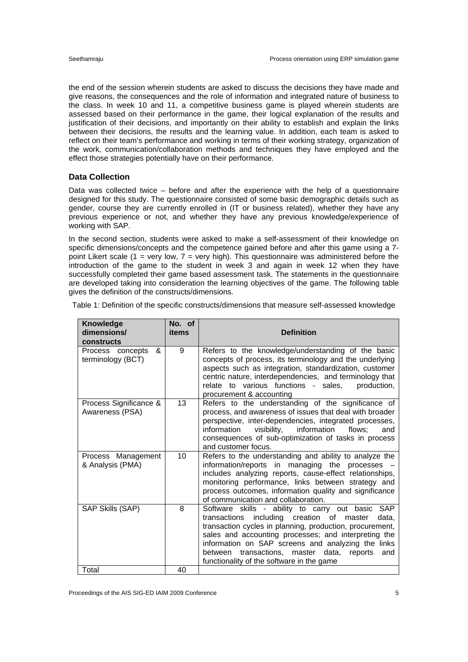the end of the session wherein students are asked to discuss the decisions they have made and give reasons, the consequences and the role of information and integrated nature of business to the class. In week 10 and 11, a competitive business game is played wherein students are assessed based on their performance in the game, their logical explanation of the results and justification of their decisions, and importantly on their ability to establish and explain the links between their decisions, the results and the learning value. In addition, each team is asked to reflect on their team's performance and working in terms of their working strategy, organization of the work, communication/collaboration methods and techniques they have employed and the effect those strategies potentially have on their performance.

#### **Data Collection**

Data was collected twice – before and after the experience with the help of a questionnaire designed for this study. The questionnaire consisted of some basic demographic details such as gender, course they are currently enrolled in (IT or business related), whether they have any previous experience or not, and whether they have any previous knowledge/experience of working with SAP.

In the second section, students were asked to make a self-assessment of their knowledge on specific dimensions/concepts and the competence gained before and after this game using a 7 point Likert scale (1 = very low, 7 = very high). This questionnaire was administered before the introduction of the game to the student in week 3 and again in week 12 when they have successfully completed their game based assessment task. The statements in the questionnaire are developed taking into consideration the learning objectives of the game. The following table gives the definition of the constructs/dimensions.

| Table 1: Definition of the specific constructs/dimensions that measure self-assessed knowledge |  |  |  |  |  |  |  |  |
|------------------------------------------------------------------------------------------------|--|--|--|--|--|--|--|--|
|------------------------------------------------------------------------------------------------|--|--|--|--|--|--|--|--|

| <b>Knowledge</b><br>dimensions/<br>constructs | No. of<br>items | <b>Definition</b>                                                                                                                                                                                                                                                                                                                                                                        |
|-----------------------------------------------|-----------------|------------------------------------------------------------------------------------------------------------------------------------------------------------------------------------------------------------------------------------------------------------------------------------------------------------------------------------------------------------------------------------------|
| &<br>Process concepts<br>terminology (BCT)    | 9               | Refers to the knowledge/understanding of the basic<br>concepts of process, its terminology and the underlying<br>aspects such as integration, standardization, customer<br>centric nature, interdependencies, and terminology that<br>relate to various functions - sales,<br>production,<br>procurement & accounting                                                                    |
| Process Significance &<br>Awareness (PSA)     | 13              | Refers to the understanding of the significance of<br>process, and awareness of issues that deal with broader<br>perspective, inter-dependencies, integrated processes,<br>information<br>visibility, information flows;<br>and<br>consequences of sub-optimization of tasks in process<br>and customer focus.                                                                           |
| Process Management<br>& Analysis (PMA)        | 10              | Refers to the understanding and ability to analyze the<br>information/reports in managing the processes<br>includes analyzing reports, cause-effect relationships,<br>monitoring performance, links between strategy and<br>process outcomes, information quality and significance<br>of communication and collaboration.                                                                |
| SAP Skills (SAP)                              | 8               | Software skills - ability to carry out basic SAP<br>including creation of master<br>transactions<br>data.<br>transaction cycles in planning, production, procurement,<br>sales and accounting processes; and interpreting the<br>information on SAP screens and analyzing the links<br>between<br>transactions, master data, reports<br>and<br>functionality of the software in the game |
| Total                                         | 40              |                                                                                                                                                                                                                                                                                                                                                                                          |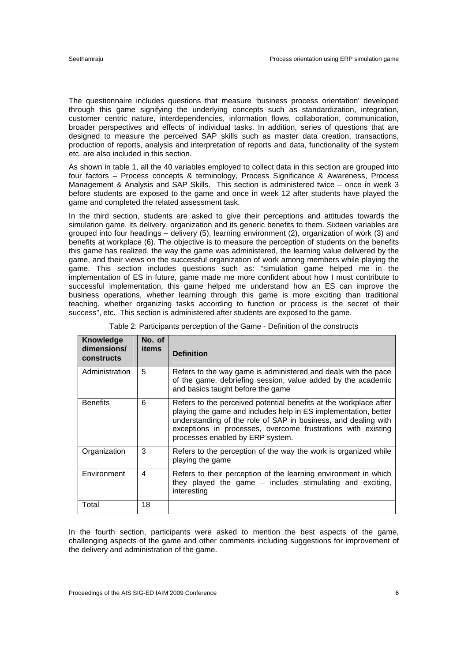The questionnaire includes questions that measure 'business process orientation' developed through this game signifying the underlying concepts such as standardization, integration, customer centric nature, interdependencies, information flows, collaboration, communication, broader perspectives and effects of individual tasks. In addition, series of questions that are designed to measure the perceived SAP skills such as master data creation, transactions, production of reports, analysis and interpretation of reports and data, functionality of the system etc. are also included in this section.

As shown in table 1, all the 40 variables employed to collect data in this section are grouped into four factors – Process concepts & terminology, Process Significance & Awareness, Process Management & Analysis and SAP Skills. This section is administered twice – once in week 3 before students are exposed to the game and once in week 12 after students have played the game and completed the related assessment task.

In the third section, students are asked to give their perceptions and attitudes towards the simulation game, its delivery, organization and its generic benefits to them. Sixteen variables are grouped into four headings – delivery (5), learning environment (2), organization of work (3) and benefits at workplace (6). The objective is to measure the perception of students on the benefits this game has realized, the way the game was administered, the learning value delivered by the game, and their views on the successful organization of work among members while playing the game. This section includes questions such as: "simulation game helped me in the implementation of ES in future, game made me more confident about how I must contribute to successful implementation, this game helped me understand how an ES can improve the business operations, whether learning through this game is more exciting than traditional teaching, whether organizing tasks according to function or process is the secret of their success", etc. This section is administered after students are exposed to the game.

| Knowledge<br>dimensions/<br>constructs | No. of<br>items | <b>Definition</b>                                                                                                                                                                                                                                                                                          |
|----------------------------------------|-----------------|------------------------------------------------------------------------------------------------------------------------------------------------------------------------------------------------------------------------------------------------------------------------------------------------------------|
| Administration                         | 5               | Refers to the way game is administered and deals with the pace<br>of the game, debriefing session, value added by the academic<br>and basics taught before the game                                                                                                                                        |
| <b>Benefits</b>                        | 6               | Refers to the perceived potential benefits at the workplace after<br>playing the game and includes help in ES implementation, better<br>understanding of the role of SAP in business, and dealing with<br>exceptions in processes, overcome frustrations with existing<br>processes enabled by ERP system. |
| Organization                           | 3               | Refers to the perception of the way the work is organized while<br>playing the game                                                                                                                                                                                                                        |
| Environment                            | 4               | Refers to their perception of the learning environment in which<br>they played the game - includes stimulating and exciting,<br>interesting                                                                                                                                                                |
| Total                                  | 18              |                                                                                                                                                                                                                                                                                                            |

In the fourth section, participants were asked to mention the best aspects of the game, challenging aspects of the game and other comments including suggestions for improvement of the delivery and administration of the game.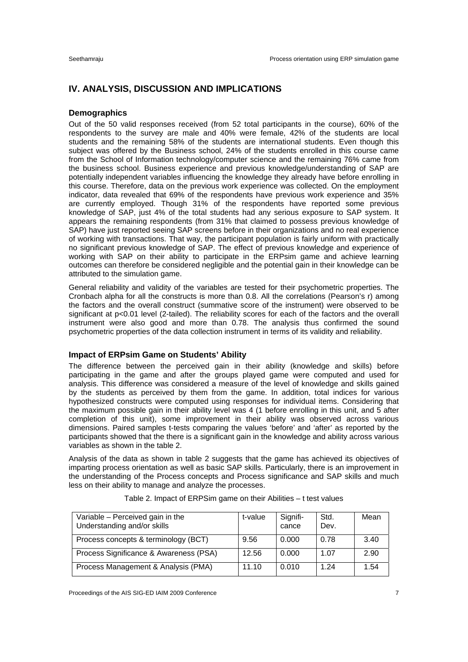# **IV. ANALYSIS, DISCUSSION AND IMPLICATIONS**

#### **Demographics**

Out of the 50 valid responses received (from 52 total participants in the course), 60% of the respondents to the survey are male and 40% were female, 42% of the students are local students and the remaining 58% of the students are international students. Even though this subject was offered by the Business school, 24% of the students enrolled in this course came from the School of Information technology/computer science and the remaining 76% came from the business school. Business experience and previous knowledge/understanding of SAP are potentially independent variables influencing the knowledge they already have before enrolling in this course. Therefore, data on the previous work experience was collected. On the employment indicator, data revealed that 69% of the respondents have previous work experience and 35% are currently employed. Though 31% of the respondents have reported some previous knowledge of SAP, just 4% of the total students had any serious exposure to SAP system. It appears the remaining respondents (from 31% that claimed to possess previous knowledge of SAP) have just reported seeing SAP screens before in their organizations and no real experience of working with transactions. That way, the participant population is fairly uniform with practically no significant previous knowledge of SAP. The effect of previous knowledge and experience of working with SAP on their ability to participate in the ERPsim game and achieve learning outcomes can therefore be considered negligible and the potential gain in their knowledge can be attributed to the simulation game.

General reliability and validity of the variables are tested for their psychometric properties. The Cronbach alpha for all the constructs is more than 0.8. All the correlations (Pearson's r) among the factors and the overall construct (summative score of the instrument) were observed to be significant at p<0.01 level (2-tailed). The reliability scores for each of the factors and the overall instrument were also good and more than 0.78. The analysis thus confirmed the sound psychometric properties of the data collection instrument in terms of its validity and reliability.

#### **Impact of ERPsim Game on Students' Ability**

The difference between the perceived gain in their ability (knowledge and skills) before participating in the game and after the groups played game were computed and used for analysis. This difference was considered a measure of the level of knowledge and skills gained by the students as perceived by them from the game. In addition, total indices for various hypothesized constructs were computed using responses for individual items. Considering that the maximum possible gain in their ability level was 4 (1 before enrolling in this unit, and 5 after completion of this unit), some improvement in their ability was observed across various dimensions. Paired samples t-tests comparing the values 'before' and 'after' as reported by the participants showed that the there is a significant gain in the knowledge and ability across various variables as shown in the table 2.

Analysis of the data as shown in table 2 suggests that the game has achieved its objectives of imparting process orientation as well as basic SAP skills. Particularly, there is an improvement in the understanding of the Process concepts and Process significance and SAP skills and much less on their ability to manage and analyze the processes.

| Variable - Perceived gain in the<br>Understanding and/or skills | t-value | Signifi-<br>cance | Std.<br>Dev. | Mean |
|-----------------------------------------------------------------|---------|-------------------|--------------|------|
| Process concepts & terminology (BCT)                            | 9.56    | 0.000             | 0.78         | 3.40 |
| Process Significance & Awareness (PSA)                          | 12.56   | 0.000             | 1.07         | 2.90 |
| Process Management & Analysis (PMA)                             | 11.10   | 0.010             | 1 24         | 1.54 |

| Table 2. Impact of ERPSim game on their Abilities – t test values |  |  |  |  |
|-------------------------------------------------------------------|--|--|--|--|
|-------------------------------------------------------------------|--|--|--|--|

Proceedings of the AIS SIG-ED IAIM 2009 Conference 7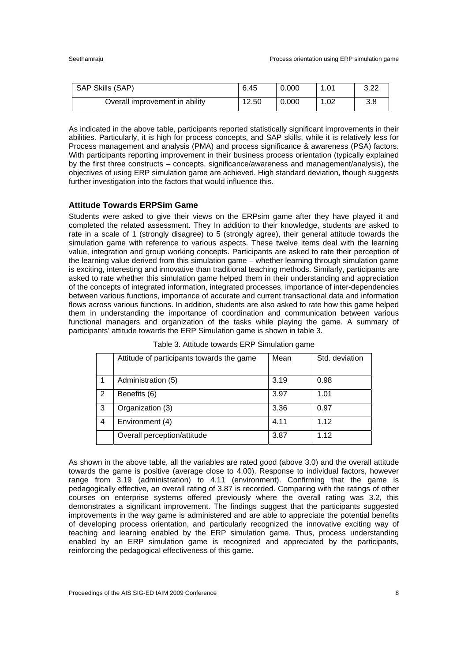| SAP Skills (SAP)               | 6.45  | 0.000 | 1.01 | າ າາ<br>ے ۔ |
|--------------------------------|-------|-------|------|-------------|
| Overall improvement in ability | 12.50 | 0.000 | 1.02 | 3.8         |

As indicated in the above table, participants reported statistically significant improvements in their abilities. Particularly, it is high for process concepts, and SAP skills, while it is relatively less for Process management and analysis (PMA) and process significance & awareness (PSA) factors. With participants reporting improvement in their business process orientation (typically explained by the first three constructs – concepts, significance/awareness and management/analysis), the objectives of using ERP simulation game are achieved. High standard deviation, though suggests further investigation into the factors that would influence this.

#### **Attitude Towards ERPSim Game**

Students were asked to give their views on the ERPsim game after they have played it and completed the related assessment. They In addition to their knowledge, students are asked to rate in a scale of 1 (strongly disagree) to 5 (strongly agree), their general attitude towards the simulation game with reference to various aspects. These twelve items deal with the learning value, integration and group working concepts. Participants are asked to rate their perception of the learning value derived from this simulation game – whether learning through simulation game is exciting, interesting and innovative than traditional teaching methods. Similarly, participants are asked to rate whether this simulation game helped them in their understanding and appreciation of the concepts of integrated information, integrated processes, importance of inter-dependencies between various functions, importance of accurate and current transactional data and information flows across various functions. In addition, students are also asked to rate how this game helped them in understanding the importance of coordination and communication between various functional managers and organization of the tasks while playing the game. A summary of participants' attitude towards the ERP Simulation game is shown in table 3.

|                | Attitude of participants towards the game | Mean | Std. deviation |
|----------------|-------------------------------------------|------|----------------|
|                | Administration (5)                        | 3.19 | 0.98           |
| $\mathfrak{p}$ | Benefits (6)                              | 3.97 | 1.01           |
| 3              | Organization (3)                          | 3.36 | 0.97           |
| 4              | Environment (4)                           | 4.11 | 1.12           |
|                | Overall perception/attitude               | 3.87 | 1.12           |

Table 3. Attitude towards ERP Simulation game

As shown in the above table, all the variables are rated good (above 3.0) and the overall attitude towards the game is positive (average close to 4.00). Response to individual factors, however range from 3.19 (administration) to 4.11 (environment). Confirming that the game is pedagogically effective, an overall rating of 3.87 is recorded. Comparing with the ratings of other courses on enterprise systems offered previously where the overall rating was 3.2, this demonstrates a significant improvement. The findings suggest that the participants suggested improvements in the way game is administered and are able to appreciate the potential benefits of developing process orientation, and particularly recognized the innovative exciting way of teaching and learning enabled by the ERP simulation game. Thus, process understanding enabled by an ERP simulation game is recognized and appreciated by the participants, reinforcing the pedagogical effectiveness of this game.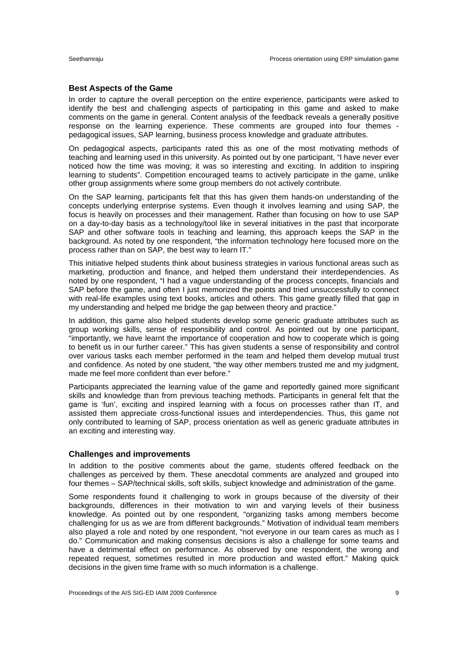#### **Best Aspects of the Game**

In order to capture the overall perception on the entire experience, participants were asked to identify the best and challenging aspects of participating in this game and asked to make comments on the game in general. Content analysis of the feedback reveals a generally positive response on the learning experience. These comments are grouped into four themes pedagogical issues, SAP learning, business process knowledge and graduate attributes.

On pedagogical aspects, participants rated this as one of the most motivating methods of teaching and learning used in this university. As pointed out by one participant, "I have never ever noticed how the time was moving; it was so interesting and exciting. In addition to inspiring learning to students". Competition encouraged teams to actively participate in the game, unlike other group assignments where some group members do not actively contribute.

On the SAP learning, participants felt that this has given them hands-on understanding of the concepts underlying enterprise systems. Even though it involves learning and using SAP, the focus is heavily on processes and their management. Rather than focusing on how to use SAP on a day-to-day basis as a technology/tool like in several initiatives in the past that incorporate SAP and other software tools in teaching and learning, this approach keeps the SAP in the background. As noted by one respondent, "the information technology here focused more on the process rather than on SAP, the best way to learn IT."

This initiative helped students think about business strategies in various functional areas such as marketing, production and finance, and helped them understand their interdependencies. As noted by one respondent, "I had a vague understanding of the process concepts, financials and SAP before the game, and often I just memorized the points and tried unsuccessfully to connect with real-life examples using text books, articles and others. This game greatly filled that gap in my understanding and helped me bridge the gap between theory and practice."

In addition, this game also helped students develop some generic graduate attributes such as group working skills, sense of responsibility and control. As pointed out by one participant, "importantly, we have learnt the importance of cooperation and how to cooperate which is going to benefit us in our further career." This has given students a sense of responsibility and control over various tasks each member performed in the team and helped them develop mutual trust and confidence. As noted by one student, "the way other members trusted me and my judgment, made me feel more confident than ever before."

Participants appreciated the learning value of the game and reportedly gained more significant skills and knowledge than from previous teaching methods. Participants in general felt that the game is 'fun', exciting and inspired learning with a focus on processes rather than IT, and assisted them appreciate cross-functional issues and interdependencies. Thus, this game not only contributed to learning of SAP, process orientation as well as generic graduate attributes in an exciting and interesting way.

#### **Challenges and improvements**

In addition to the positive comments about the game, students offered feedback on the challenges as perceived by them. These anecdotal comments are analyzed and grouped into four themes – SAP/technical skills, soft skills, subject knowledge and administration of the game.

Some respondents found it challenging to work in groups because of the diversity of their backgrounds, differences in their motivation to win and varying levels of their business knowledge. As pointed out by one respondent, "organizing tasks among members become challenging for us as we are from different backgrounds." Motivation of individual team members also played a role and noted by one respondent, "not everyone in our team cares as much as I do." Communication and making consensus decisions is also a challenge for some teams and have a detrimental effect on performance. As observed by one respondent, the wrong and repeated request, sometimes resulted in more production and wasted effort." Making quick decisions in the given time frame with so much information is a challenge.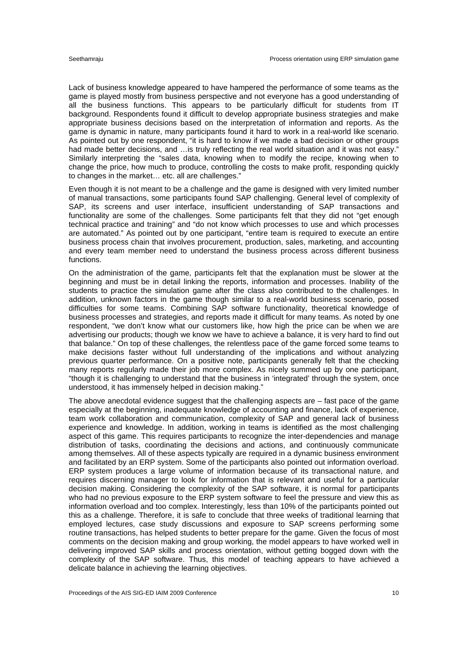Lack of business knowledge appeared to have hampered the performance of some teams as the game is played mostly from business perspective and not everyone has a good understanding of all the business functions. This appears to be particularly difficult for students from IT background. Respondents found it difficult to develop appropriate business strategies and make appropriate business decisions based on the interpretation of information and reports. As the game is dynamic in nature, many participants found it hard to work in a real-world like scenario. As pointed out by one respondent, "it is hard to know if we made a bad decision or other groups had made better decisions, and ... is truly reflecting the real world situation and it was not easy." Similarly interpreting the "sales data, knowing when to modify the recipe, knowing when to change the price, how much to produce, controlling the costs to make profit, responding quickly to changes in the market… etc. all are challenges."

Even though it is not meant to be a challenge and the game is designed with very limited number of manual transactions, some participants found SAP challenging. General level of complexity of SAP, its screens and user interface, insufficient understanding of SAP transactions and functionality are some of the challenges. Some participants felt that they did not "get enough technical practice and training" and "do not know which processes to use and which processes are automated." As pointed out by one participant, "entire team is required to execute an entire business process chain that involves procurement, production, sales, marketing, and accounting and every team member need to understand the business process across different business functions.

On the administration of the game, participants felt that the explanation must be slower at the beginning and must be in detail linking the reports, information and processes. Inability of the students to practice the simulation game after the class also contributed to the challenges. In addition, unknown factors in the game though similar to a real-world business scenario, posed difficulties for some teams. Combining SAP software functionality, theoretical knowledge of business processes and strategies, and reports made it difficult for many teams. As noted by one respondent, "we don't know what our customers like, how high the price can be when we are advertising our products; though we know we have to achieve a balance, it is very hard to find out that balance." On top of these challenges, the relentless pace of the game forced some teams to make decisions faster without full understanding of the implications and without analyzing previous quarter performance. On a positive note, participants generally felt that the checking many reports regularly made their job more complex. As nicely summed up by one participant, "though it is challenging to understand that the business in 'integrated' through the system, once understood, it has immensely helped in decision making."

The above anecdotal evidence suggest that the challenging aspects are – fast pace of the game especially at the beginning, inadequate knowledge of accounting and finance, lack of experience, team work collaboration and communication, complexity of SAP and general lack of business experience and knowledge. In addition, working in teams is identified as the most challenging aspect of this game. This requires participants to recognize the inter-dependencies and manage distribution of tasks, coordinating the decisions and actions, and continuously communicate among themselves. All of these aspects typically are required in a dynamic business environment and facilitated by an ERP system. Some of the participants also pointed out information overload. ERP system produces a large volume of information because of its transactional nature, and requires discerning manager to look for information that is relevant and useful for a particular decision making. Considering the complexity of the SAP software, it is normal for participants who had no previous exposure to the ERP system software to feel the pressure and view this as information overload and too complex. Interestingly, less than 10% of the participants pointed out this as a challenge. Therefore, it is safe to conclude that three weeks of traditional learning that employed lectures, case study discussions and exposure to SAP screens performing some routine transactions, has helped students to better prepare for the game. Given the focus of most comments on the decision making and group working, the model appears to have worked well in delivering improved SAP skills and process orientation, without getting bogged down with the complexity of the SAP software. Thus, this model of teaching appears to have achieved a delicate balance in achieving the learning objectives.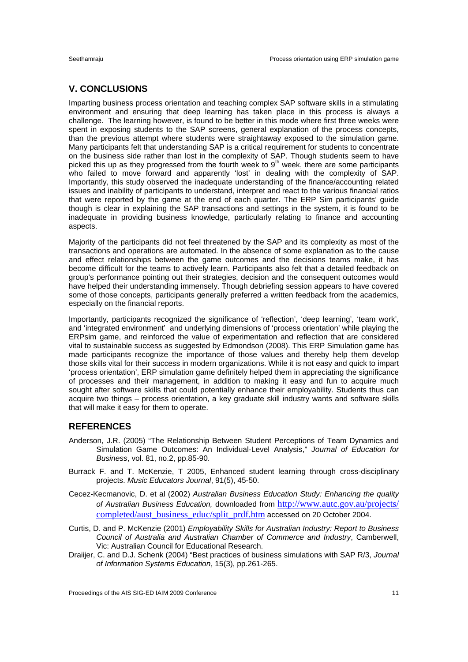# **V. CONCLUSIONS**

Imparting business process orientation and teaching complex SAP software skills in a stimulating environment and ensuring that deep learning has taken place in this process is always a challenge. The learning however, is found to be better in this mode where first three weeks were spent in exposing students to the SAP screens, general explanation of the process concepts, than the previous attempt where students were straightaway exposed to the simulation game. Many participants felt that understanding SAP is a critical requirement for students to concentrate on the business side rather than lost in the complexity of SAP. Though students seem to have picked this up as they progressed from the fourth week to  $9<sup>th</sup>$  week, there are some participants who failed to move forward and apparently 'lost' in dealing with the complexity of SAP. Importantly, this study observed the inadequate understanding of the finance/accounting related issues and inability of participants to understand, interpret and react to the various financial ratios that were reported by the game at the end of each quarter. The ERP Sim participants' guide though is clear in explaining the SAP transactions and settings in the system, it is found to be inadequate in providing business knowledge, particularly relating to finance and accounting aspects.

Majority of the participants did not feel threatened by the SAP and its complexity as most of the transactions and operations are automated. In the absence of some explanation as to the cause and effect relationships between the game outcomes and the decisions teams make, it has become difficult for the teams to actively learn. Participants also felt that a detailed feedback on group's performance pointing out their strategies, decision and the consequent outcomes would have helped their understanding immensely. Though debriefing session appears to have covered some of those concepts, participants generally preferred a written feedback from the academics, especially on the financial reports.

Importantly, participants recognized the significance of 'reflection', 'deep learning', 'team work', and 'integrated environment' and underlying dimensions of 'process orientation' while playing the ERPsim game, and reinforced the value of experimentation and reflection that are considered vital to sustainable success as suggested by Edmondson (2008). This ERP Simulation game has made participants recognize the importance of those values and thereby help them develop those skills vital for their success in modern organizations. While it is not easy and quick to impart 'process orientation', ERP simulation game definitely helped them in appreciating the significance of processes and their management, in addition to making it easy and fun to acquire much sought after software skills that could potentially enhance their employability. Students thus can acquire two things – process orientation, a key graduate skill industry wants and software skills that will make it easy for them to operate.

# **REFERENCES**

- Anderson, J.R. (2005) "The Relationship Between Student Perceptions of Team Dynamics and Simulation Game Outcomes: An Individual-Level Analysis," *Journal of Education for Business*, vol. 81, no.2, pp.85-90.
- Burrack F. and T. McKenzie, T 2005, Enhanced student learning through cross-disciplinary projects. *Music Educators Journal*, 91(5), 45-50.
- Cecez-Kecmanovic, D. et al (2002) *Australian Business Education Study: Enhancing the quality of Australian Business Education,* downloaded from http://www.autc.gov.au/projects/ completed/aust\_business\_educ/split\_prdf.htm accessed on 20 October 2004.
- Curtis, D. and P. McKenzie (2001) *Employability Skills for Australian Industry: Report to Business Council of Australia and Australian Chamber of Commerce and Industry*, Camberwell, Vic: Australian Council for Educational Research.
- Draiijer, C. and D.J. Schenk (2004) "Best practices of business simulations with SAP R/3, *Journal of Information Systems Education*, 15(3), pp.261-265.